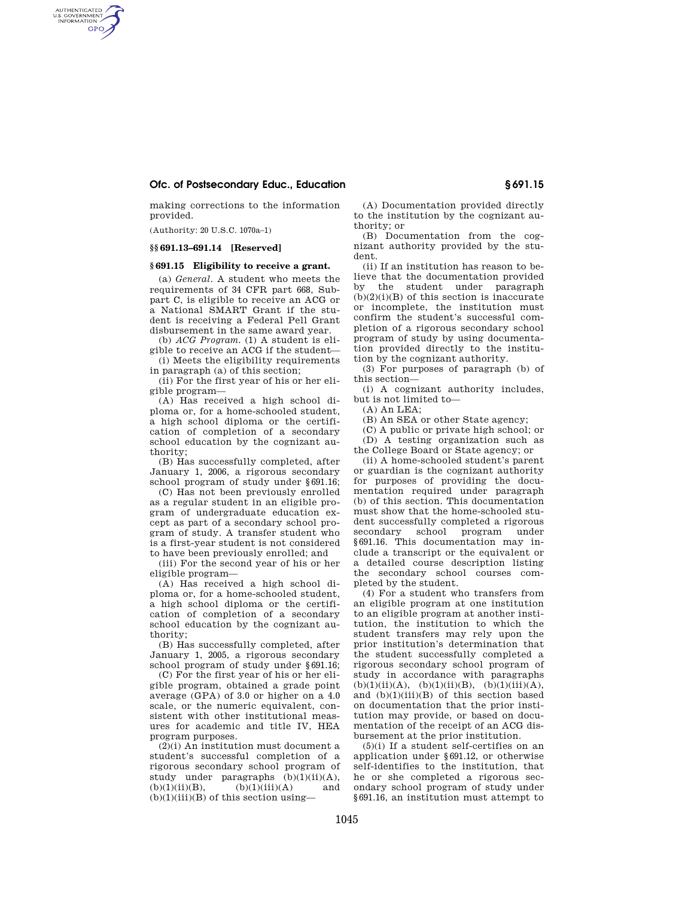# **Ofc. of Postsecondary Educ., Education § 691.15**

making corrections to the information provided.

(Authority: 20 U.S.C. 1070a–1)

AUTHENTICATED<br>U.S. GOVERNMENT<br>INFORMATION **GPO** 

## **§§ 691.13–691.14 [Reserved]**

### **§ 691.15 Eligibility to receive a grant.**

(a) *General.* A student who meets the requirements of 34 CFR part 668, Subpart C, is eligible to receive an ACG or a National SMART Grant if the student is receiving a Federal Pell Grant disbursement in the same award year.

(b) *ACG Program.* (1) A student is eligible to receive an ACG if the student— (i) Meets the eligibility requirements

in paragraph (a) of this section; (ii) For the first year of his or her eli-

gible program—

(A) Has received a high school diploma or, for a home-schooled student, a high school diploma or the certification of completion of a secondary school education by the cognizant authority;

(B) Has successfully completed, after January 1, 2006, a rigorous secondary school program of study under §691.16;

(C) Has not been previously enrolled as a regular student in an eligible program of undergraduate education except as part of a secondary school program of study. A transfer student who is a first-year student is not considered to have been previously enrolled; and

(iii) For the second year of his or her eligible program—

(A) Has received a high school diploma or, for a home-schooled student, a high school diploma or the certification of completion of a secondary school education by the cognizant authority;

(B) Has successfully completed, after January 1, 2005, a rigorous secondary school program of study under §691.16;

(C) For the first year of his or her eligible program, obtained a grade point average (GPA) of 3.0 or higher on a 4.0 scale, or the numeric equivalent, consistent with other institutional measures for academic and title IV, HEA program purposes.

(2)(i) An institution must document a student's successful completion of a rigorous secondary school program of study under paragraphs  $(b)(1)(ii)(A)$ ,<br>(b)(1)(ii)(B), (b)(1)(iii)(A) and  $(b)(1)(iii)(A)$  and  $(b)(1)(iii)(B)$  of this section using—

(A) Documentation provided directly to the institution by the cognizant authority; or

(B) Documentation from the cognizant authority provided by the student.

(ii) If an institution has reason to believe that the documentation provided by the student under paragraph  $(b)(2)(i)(B)$  of this section is inaccurate or incomplete, the institution must confirm the student's successful completion of a rigorous secondary school program of study by using documentation provided directly to the institution by the cognizant authority.

(3) For purposes of paragraph (b) of this section—

(i) A cognizant authority includes, but is not limited to—

(A) An LEA;

(B) An SEA or other State agency;

(C) A public or private high school; or (D) A testing organization such as the College Board or State agency; or

(ii) A home-schooled student's parent or guardian is the cognizant authority for purposes of providing the documentation required under paragraph (b) of this section. This documentation must show that the home-schooled student successfully completed a rigorous secondary school program under §691.16. This documentation may include a transcript or the equivalent or a detailed course description listing the secondary school courses completed by the student.

(4) For a student who transfers from an eligible program at one institution to an eligible program at another institution, the institution to which the student transfers may rely upon the prior institution's determination that the student successfully completed a rigorous secondary school program of study in accordance with paragraphs  $(b)(1)(ii)(A), (b)(1)(ii)(B), (b)(1)(iii)(A),$ and (b)(1)(iii)(B) of this section based on documentation that the prior institution may provide, or based on documentation of the receipt of an ACG disbursement at the prior institution.

(5)(i) If a student self-certifies on an application under §691.12, or otherwise self-identifies to the institution, that he or she completed a rigorous secondary school program of study under §691.16, an institution must attempt to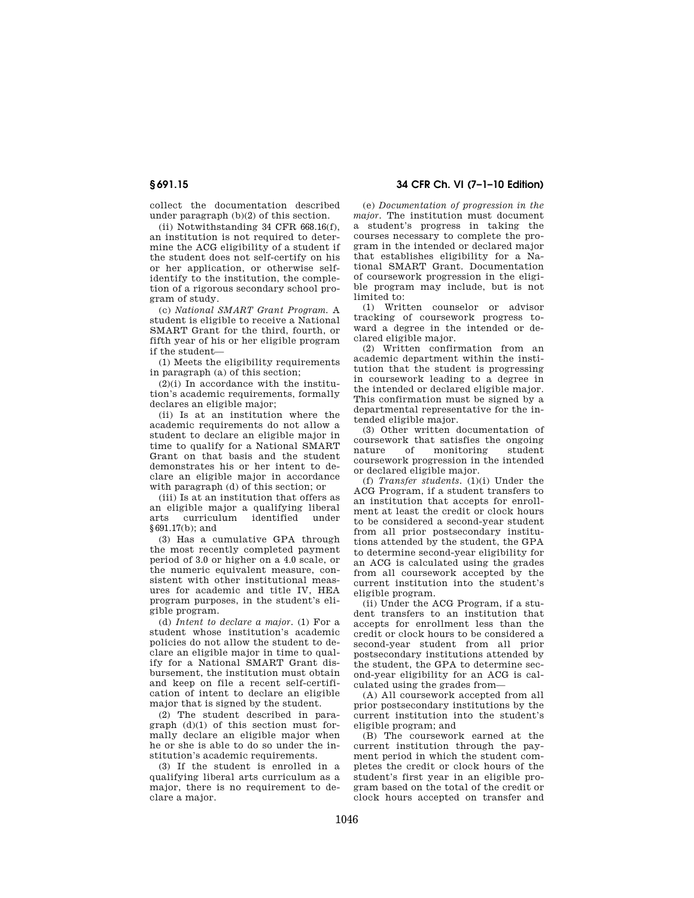collect the documentation described under paragraph (b)(2) of this section.

(ii) Notwithstanding 34 CFR 668.16(f), an institution is not required to determine the ACG eligibility of a student if the student does not self-certify on his or her application, or otherwise selfidentify to the institution, the completion of a rigorous secondary school program of study.

(c) *National SMART Grant Program.* A student is eligible to receive a National SMART Grant for the third, fourth, or fifth year of his or her eligible program if the student—

(1) Meets the eligibility requirements in paragraph (a) of this section;

 $(2)(i)$  In accordance with the institution's academic requirements, formally declares an eligible major;

(ii) Is at an institution where the academic requirements do not allow a student to declare an eligible major in time to qualify for a National SMART Grant on that basis and the student demonstrates his or her intent to declare an eligible major in accordance with paragraph (d) of this section; or

(iii) Is at an institution that offers as an eligible major a qualifying liberal arts curriculum identified under §691.17(b); and

(3) Has a cumulative GPA through the most recently completed payment period of 3.0 or higher on a 4.0 scale, or the numeric equivalent measure, consistent with other institutional measures for academic and title IV, HEA program purposes, in the student's eligible program.

(d) *Intent to declare a major.* (1) For a student whose institution's academic policies do not allow the student to declare an eligible major in time to qualify for a National SMART Grant disbursement, the institution must obtain and keep on file a recent self-certification of intent to declare an eligible major that is signed by the student.

(2) The student described in paragraph (d)(1) of this section must formally declare an eligible major when he or she is able to do so under the institution's academic requirements.

(3) If the student is enrolled in a qualifying liberal arts curriculum as a major, there is no requirement to declare a major.

**§ 691.15 34 CFR Ch. VI (7–1–10 Edition)** 

(e) *Documentation of progression in the major.* The institution must document a student's progress in taking the courses necessary to complete the program in the intended or declared major that establishes eligibility for a National SMART Grant. Documentation of coursework progression in the eligible program may include, but is not limited to:

(1) Written counselor or advisor tracking of coursework progress toward a degree in the intended or declared eligible major.

(2) Written confirmation from an academic department within the institution that the student is progressing in coursework leading to a degree in the intended or declared eligible major. This confirmation must be signed by a departmental representative for the intended eligible major.

(3) Other written documentation of coursework that satisfies the ongoing<br>nature of monitoring student nature of monitoring coursework progression in the intended or declared eligible major.

(f) *Transfer students.* (1)(i) Under the ACG Program, if a student transfers to an institution that accepts for enrollment at least the credit or clock hours to be considered a second-year student from all prior postsecondary institutions attended by the student, the GPA to determine second-year eligibility for an ACG is calculated using the grades from all coursework accepted by the current institution into the student's eligible program.

(ii) Under the ACG Program, if a student transfers to an institution that accepts for enrollment less than the credit or clock hours to be considered a second-year student from all prior postsecondary institutions attended by the student, the GPA to determine second-year eligibility for an ACG is calculated using the grades from—

(A) All coursework accepted from all prior postsecondary institutions by the current institution into the student's eligible program; and

(B) The coursework earned at the current institution through the payment period in which the student completes the credit or clock hours of the student's first year in an eligible program based on the total of the credit or clock hours accepted on transfer and